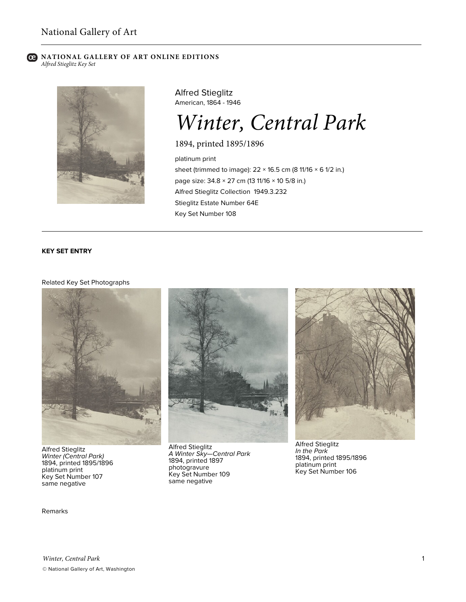#### **C** NATIONAL GALLERY OF ART ONLINE EDITIONS *Alfred Stieglitz Key Set*



Alfred Stieglitz American, 1864 - 1946

# *Winter, Central Park*

1894, printed 1895/1896

platinum print sheet (trimmed to image):  $22 \times 16.5$  cm (8 11/16  $\times$  6 1/2 in.) page size: 34.8 × 27 cm (13 11/16 × 10 5/8 in.) Alfred Stieglitz Collection 1949.3.232 Stieglitz Estate Number 64E Key Set Number 108

## **KEY SET ENTRY**

### Related Key Set Photographs



Alfred Stieglitz *Winter (Central Park)* 1894, printed 1895/1896 platinum print Key Set Number 107 same negative

Remarks



Alfred Stieglitz *A Winter Sky—Central Park* 1894, printed 1897 photogravure Key Set Number 109 same negative



Alfred Stieglitz *In the Park* 1894, printed 1895/1896 platinum print Key Set Number 106